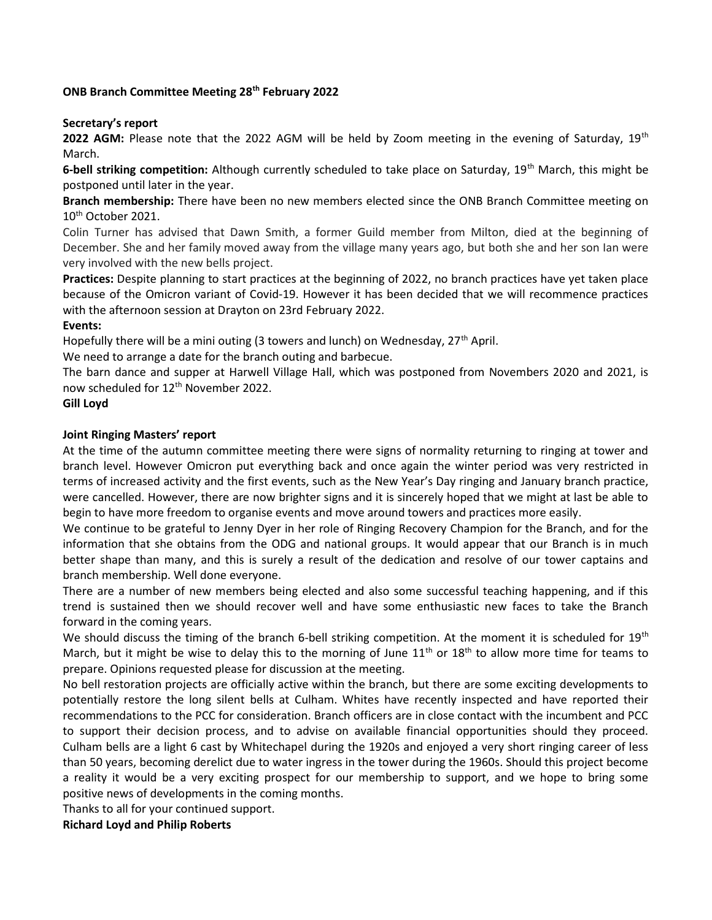#### ONB Branch Committee Meeting 28th February 2022

#### Secretary's report

**2022 AGM:** Please note that the 2022 AGM will be held by Zoom meeting in the evening of Saturday, 19<sup>th</sup> March.

6-bell striking competition: Although currently scheduled to take place on Saturday,  $19^{th}$  March, this might be postponed until later in the year.

Branch membership: There have been no new members elected since the ONB Branch Committee meeting on 10th October 2021.

Colin Turner has advised that Dawn Smith, a former Guild member from Milton, died at the beginning of December. She and her family moved away from the village many years ago, but both she and her son Ian were very involved with the new bells project.

Practices: Despite planning to start practices at the beginning of 2022, no branch practices have yet taken place because of the Omicron variant of Covid-19. However it has been decided that we will recommence practices with the afternoon session at Drayton on 23rd February 2022.

## Events:

Hopefully there will be a mini outing (3 towers and lunch) on Wednesday,  $27<sup>th</sup>$  April.

We need to arrange a date for the branch outing and barbecue.

The barn dance and supper at Harwell Village Hall, which was postponed from Novembers 2020 and 2021, is now scheduled for 12th November 2022.

## Gill Loyd

#### Joint Ringing Masters' report

At the time of the autumn committee meeting there were signs of normality returning to ringing at tower and branch level. However Omicron put everything back and once again the winter period was very restricted in terms of increased activity and the first events, such as the New Year's Day ringing and January branch practice, were cancelled. However, there are now brighter signs and it is sincerely hoped that we might at last be able to begin to have more freedom to organise events and move around towers and practices more easily.

We continue to be grateful to Jenny Dyer in her role of Ringing Recovery Champion for the Branch, and for the information that she obtains from the ODG and national groups. It would appear that our Branch is in much better shape than many, and this is surely a result of the dedication and resolve of our tower captains and branch membership. Well done everyone.

There are a number of new members being elected and also some successful teaching happening, and if this trend is sustained then we should recover well and have some enthusiastic new faces to take the Branch forward in the coming years.

We should discuss the timing of the branch 6-bell striking competition. At the moment it is scheduled for 19<sup>th</sup> March, but it might be wise to delay this to the morning of June  $11<sup>th</sup>$  or  $18<sup>th</sup>$  to allow more time for teams to prepare. Opinions requested please for discussion at the meeting.

No bell restoration projects are officially active within the branch, but there are some exciting developments to potentially restore the long silent bells at Culham. Whites have recently inspected and have reported their recommendations to the PCC for consideration. Branch officers are in close contact with the incumbent and PCC to support their decision process, and to advise on available financial opportunities should they proceed. Culham bells are a light 6 cast by Whitechapel during the 1920s and enjoyed a very short ringing career of less than 50 years, becoming derelict due to water ingress in the tower during the 1960s. Should this project become a reality it would be a very exciting prospect for our membership to support, and we hope to bring some positive news of developments in the coming months.

Thanks to all for your continued support.

## Richard Loyd and Philip Roberts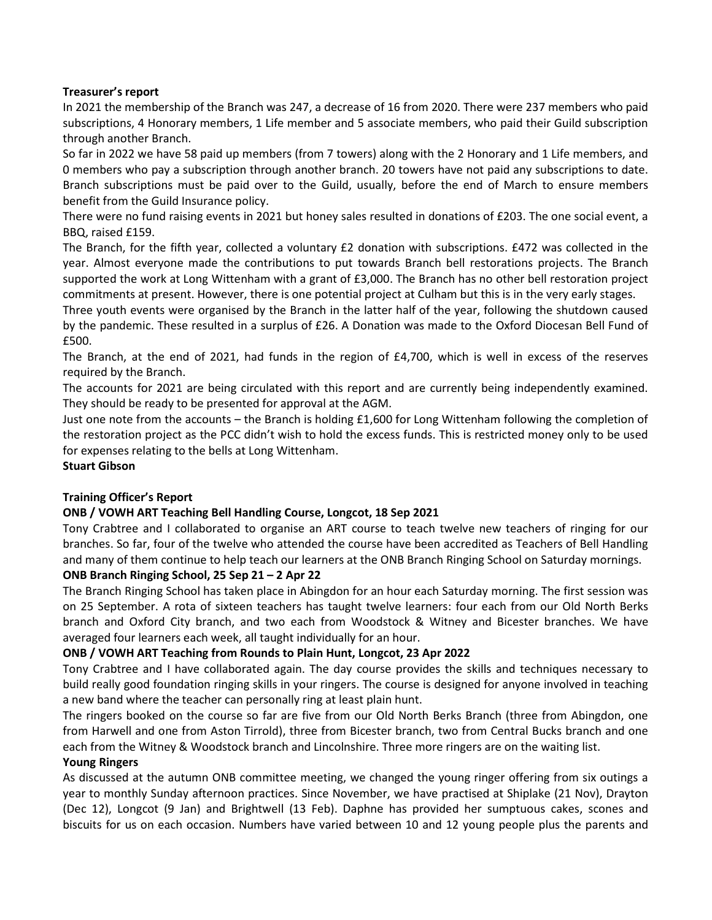# Treasurer's report

In 2021 the membership of the Branch was 247, a decrease of 16 from 2020. There were 237 members who paid subscriptions, 4 Honorary members, 1 Life member and 5 associate members, who paid their Guild subscription through another Branch.

So far in 2022 we have 58 paid up members (from 7 towers) along with the 2 Honorary and 1 Life members, and 0 members who pay a subscription through another branch. 20 towers have not paid any subscriptions to date. Branch subscriptions must be paid over to the Guild, usually, before the end of March to ensure members benefit from the Guild Insurance policy.

There were no fund raising events in 2021 but honey sales resulted in donations of £203. The one social event, a BBQ, raised £159.

The Branch, for the fifth year, collected a voluntary £2 donation with subscriptions. £472 was collected in the year. Almost everyone made the contributions to put towards Branch bell restorations projects. The Branch supported the work at Long Wittenham with a grant of £3,000. The Branch has no other bell restoration project commitments at present. However, there is one potential project at Culham but this is in the very early stages.

Three youth events were organised by the Branch in the latter half of the year, following the shutdown caused by the pandemic. These resulted in a surplus of £26. A Donation was made to the Oxford Diocesan Bell Fund of £500.

The Branch, at the end of 2021, had funds in the region of £4,700, which is well in excess of the reserves required by the Branch.

The accounts for 2021 are being circulated with this report and are currently being independently examined. They should be ready to be presented for approval at the AGM.

Just one note from the accounts – the Branch is holding £1,600 for Long Wittenham following the completion of the restoration project as the PCC didn't wish to hold the excess funds. This is restricted money only to be used for expenses relating to the bells at Long Wittenham.

## Stuart Gibson

## Training Officer's Report

## ONB / VOWH ART Teaching Bell Handling Course, Longcot, 18 Sep 2021

Tony Crabtree and I collaborated to organise an ART course to teach twelve new teachers of ringing for our branches. So far, four of the twelve who attended the course have been accredited as Teachers of Bell Handling and many of them continue to help teach our learners at the ONB Branch Ringing School on Saturday mornings.

# ONB Branch Ringing School, 25 Sep 21 – 2 Apr 22

The Branch Ringing School has taken place in Abingdon for an hour each Saturday morning. The first session was on 25 September. A rota of sixteen teachers has taught twelve learners: four each from our Old North Berks branch and Oxford City branch, and two each from Woodstock & Witney and Bicester branches. We have averaged four learners each week, all taught individually for an hour.

## ONB / VOWH ART Teaching from Rounds to Plain Hunt, Longcot, 23 Apr 2022

Tony Crabtree and I have collaborated again. The day course provides the skills and techniques necessary to build really good foundation ringing skills in your ringers. The course is designed for anyone involved in teaching a new band where the teacher can personally ring at least plain hunt.

The ringers booked on the course so far are five from our Old North Berks Branch (three from Abingdon, one from Harwell and one from Aston Tirrold), three from Bicester branch, two from Central Bucks branch and one each from the Witney & Woodstock branch and Lincolnshire. Three more ringers are on the waiting list.

#### Young Ringers

As discussed at the autumn ONB committee meeting, we changed the young ringer offering from six outings a year to monthly Sunday afternoon practices. Since November, we have practised at Shiplake (21 Nov), Drayton (Dec 12), Longcot (9 Jan) and Brightwell (13 Feb). Daphne has provided her sumptuous cakes, scones and biscuits for us on each occasion. Numbers have varied between 10 and 12 young people plus the parents and